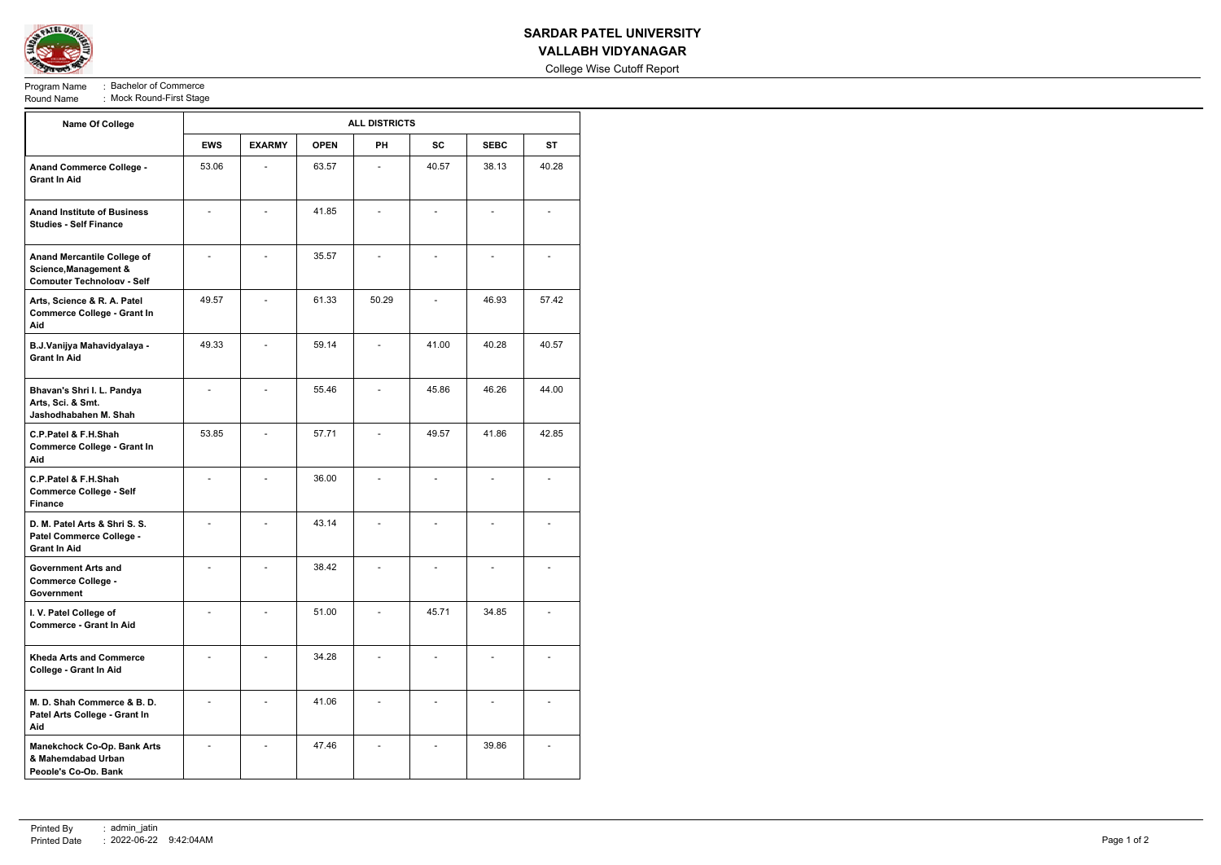

# **SARDAR PATEL UNIVERSITY**

## **VALLABH VIDYANAGAR**

College Wise Cutoff Report

Program Name : Bachelor of Commerce<br>Round Name : Mock Round-First Stage : Mock Round-First Stage

| <b>Name Of College</b>                                                                           | <b>ALL DISTRICTS</b> |                |             |           |           |             |           |  |  |
|--------------------------------------------------------------------------------------------------|----------------------|----------------|-------------|-----------|-----------|-------------|-----------|--|--|
|                                                                                                  | <b>EWS</b>           | <b>EXARMY</b>  | <b>OPEN</b> | <b>PH</b> | <b>SC</b> | <b>SEBC</b> | <b>ST</b> |  |  |
| <b>Anand Commerce College -</b><br><b>Grant In Aid</b>                                           | 53.06                |                | 63.57       |           | 40.57     | 38.13       | 40.28     |  |  |
| <b>Anand Institute of Business</b><br><b>Studies - Self Finance</b>                              |                      |                | 41.85       |           |           |             |           |  |  |
| <b>Anand Mercantile College of</b><br>Science, Management &<br><b>Computer Technology - Self</b> | $\overline{a}$       | $\blacksquare$ | 35.57       |           |           |             |           |  |  |
| Arts, Science & R. A. Patel<br><b>Commerce College - Grant In</b><br>Aid                         | 49.57                | $\blacksquare$ | 61.33       | 50.29     |           | 46.93       | 57.42     |  |  |
| B.J.Vanijya Mahavidyalaya -<br><b>Grant In Aid</b>                                               | 49.33                |                | 59.14       |           | 41.00     | 40.28       | 40.57     |  |  |
| Bhavan's Shri I. L. Pandya<br>Arts, Sci. & Smt.<br>Jashodhabahen M. Shah                         |                      |                | 55.46       |           | 45.86     | 46.26       | 44.00     |  |  |
| C.P.Patel & F.H.Shah<br><b>Commerce College - Grant In</b><br>Aid                                | 53.85                |                | 57.71       |           | 49.57     | 41.86       | 42.85     |  |  |
| C.P.Patel & F.H.Shah<br><b>Commerce College - Self</b><br><b>Finance</b>                         |                      |                | 36.00       |           |           |             |           |  |  |
| D. M. Patel Arts & Shri S. S.<br>Patel Commerce College -<br><b>Grant In Aid</b>                 |                      |                | 43.14       |           |           |             |           |  |  |
| Government Arts and<br><b>Commerce College -</b><br>Government                                   |                      |                | 38.42       |           |           |             |           |  |  |
| I. V. Patel College of<br><b>Commerce - Grant In Aid</b>                                         |                      |                | 51.00       |           | 45.71     | 34.85       |           |  |  |
| <b>Kheda Arts and Commerce</b><br>College - Grant In Aid                                         |                      |                | 34.28       |           |           |             |           |  |  |
| M. D. Shah Commerce & B. D.<br>Patel Arts College - Grant In<br>Aid                              |                      |                | 41.06       |           |           |             |           |  |  |
| <b>Manekchock Co-Op. Bank Arts</b><br>& Mahemdabad Urban<br>People's Co-Op. Bank                 |                      |                | 47.46       |           |           | 39.86       |           |  |  |